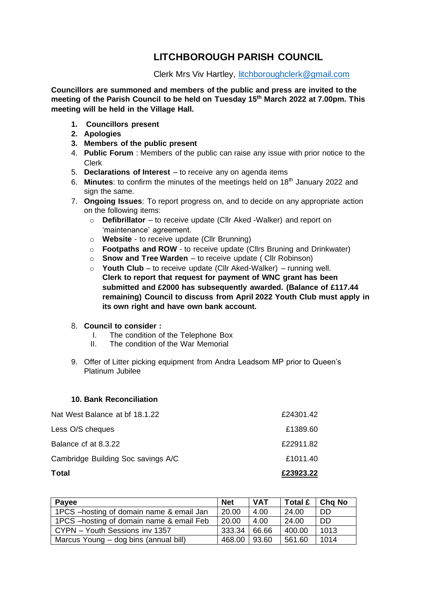## **LITCHBOROUGH PARISH COUNCIL**

Clerk Mrs Viv Hartley, [litchboroughclerk@gmail.com](mailto:litchboroughclerk@gmail.com)

**Councillors are summoned and members of the public and press are invited to the meeting of the Parish Council to be held on Tuesday 15th March 2022 at 7.00pm. This meeting will be held in the Village Hall.** 

- **1. Councillors present**
- **2. Apologies**
- **3. Members of the public present**
- 4. **Public Forum** : Members of the public can raise any issue with prior notice to the Clerk
- 5. **Declarations of Interest** to receive any on agenda items
- 6. **Minutes**: to confirm the minutes of the meetings held on 18th January 2022 and sign the same.
- 7. **Ongoing Issues**: To report progress on, and to decide on any appropriate action on the following items:
	- o **Defibrillator** to receive update (Cllr Aked -Walker) and report on 'maintenance' agreement.
	- o **Website** to receive update (Cllr Brunning)
	- o **Footpaths and ROW** to receive update (Cllrs Bruning and Drinkwater)
	- o **Snow and Tree Warden** to receive update ( Cllr Robinson)
	- o **Youth Club** to receive update (Cllr Aked-Walker) running well. **Clerk to report that request for payment of WNC grant has been submitted and £2000 has subsequently awarded. (Balance of £117.44 remaining) Council to discuss from April 2022 Youth Club must apply in its own right and have own bank account.**

## 8. **Council to consider :**

- I. The condition of the Telephone Box
- II. The condition of the War Memorial
- 9. Offer of Litter picking equipment from Andra Leadsom MP prior to Queen's Platinum Jubilee

## **10. Bank Reconciliation**

| Total                              | £23923.22 |
|------------------------------------|-----------|
| Cambridge Building Soc savings A/C | £1011.40  |
| Balance of at 8.3.22               | £22911.82 |
| Less O/S cheques                   | £1389.60  |
| Nat West Balance at br 18.1.22     | £24301.42 |

| Payee                                     | <b>Net</b> | <b>VAT</b> | Total £ | <b>Cha No</b> |
|-------------------------------------------|------------|------------|---------|---------------|
| 1PCS - hosting of domain name & email Jan | 20.00      | 4.00       | 24.00   | DD.           |
| 1PCS - hosting of domain name & email Feb | 20.00      | 4.00       | 24.00   | DD.           |
| CYPN - Youth Sessions inv 1357            | 333.34     | 66.66      | 400.00  | 1013          |
| Marcus Young – dog bins (annual bill)     | 468.00     | 93.60      | 561.60  | 1014          |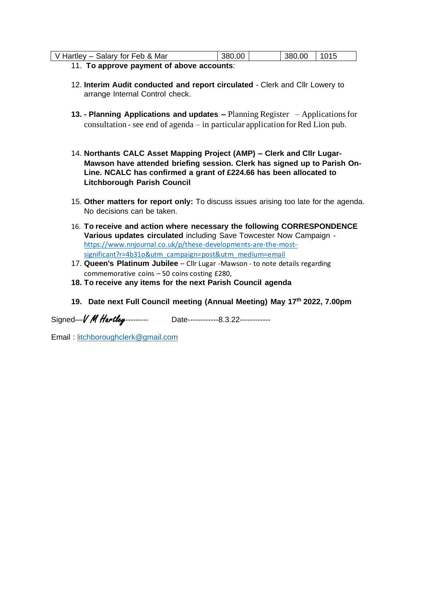| V Hartley – Salary for Feb & Mar          | 380.00 |  | 380.00 1015 |  |  |
|-------------------------------------------|--------|--|-------------|--|--|
| 11. To approve payment of above accounts: |        |  |             |  |  |

- 12. **Interim Audit conducted and report circulated** Clerk and Cllr Lowery to arrange Internal Control check.
- **13. - Planning Applications and updates –** Planning Register Applications for consultation - see end of agenda – in particular application for Red Lion pub.
- 14. **Northants CALC Asset Mapping Project (AMP) – Clerk and Cllr Lugar-Mawson have attended briefing session. Clerk has signed up to Parish On-Line. NCALC has confirmed a grant of £224.66 has been allocated to Litchborough Parish Council**
- 15. **Other matters for report only:** To discuss issues arising too late for the agenda. No decisions can be taken.
- 16. **To receive and action where necessary the following CORRESPONDENCE Various updates circulated** including Save Towcester Now Campaign [https://www.nnjournal.co.uk/p/these-developments-are-the-most](https://www.nnjournal.co.uk/p/these-developments-are-the-most-significant?r=4b31o&utm_campaign=post&utm_medium=email)[significant?r=4b31o&utm\\_campaign=post&utm\\_medium=email](https://www.nnjournal.co.uk/p/these-developments-are-the-most-significant?r=4b31o&utm_campaign=post&utm_medium=email)
- 17. **Queen's Platinum Jubilee** Cllr Lugar -Mawson to note details regarding commemorative coins – 50 coins costing £280,
- **18. To receive any items for the next Parish Council agenda**
- **19. Date next Full Council meeting (Annual Meeting) May 17 th 2022, 7.00pm**

Signed-*V M Hartley*--------- Date-------------8.3.22------------

Email : [litchboroughclerk@gmail.com](mailto:litchboroughclerk@gmail.com)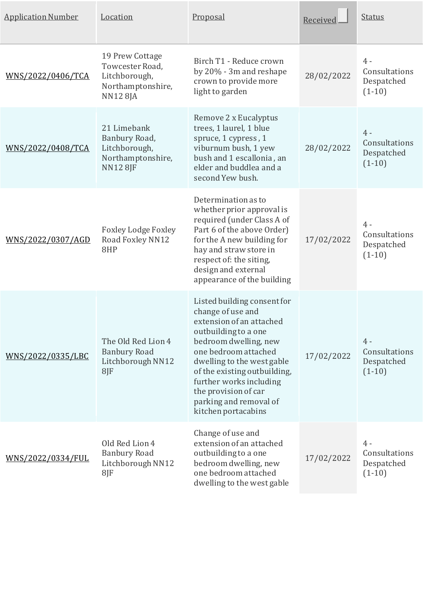| <b>Application Number</b> | Location                                                                                   | Proposal                                                                                                                                                                                                                                                                                                                | Received   | <b>Status</b>                                    |
|---------------------------|--------------------------------------------------------------------------------------------|-------------------------------------------------------------------------------------------------------------------------------------------------------------------------------------------------------------------------------------------------------------------------------------------------------------------------|------------|--------------------------------------------------|
| WNS/2022/0406/TCA         | 19 Prew Cottage<br>Towcester Road,<br>Litchborough,<br>Northamptonshire,<br><b>NN128JA</b> | Birch T1 - Reduce crown<br>by 20% - 3m and reshape<br>crown to provide more<br>light to garden                                                                                                                                                                                                                          | 28/02/2022 | $4 -$<br>Consultations<br>Despatched<br>$(1-10)$ |
| WNS/2022/0408/TCA         | 21 Limebank<br>Banbury Road,<br>Litchborough,<br>Northamptonshire,<br><b>NN128JF</b>       | Remove 2 x Eucalyptus<br>trees, 1 laurel, 1 blue<br>spruce, 1 cypress, 1<br>viburnum bush, 1 yew<br>bush and 1 escallonia, an<br>elder and buddlea and a<br>second Yew bush.                                                                                                                                            | 28/02/2022 | $4 -$<br>Consultations<br>Despatched<br>$(1-10)$ |
| <u>WNS/2022/0307/AGD</u>  | <b>Foxley Lodge Foxley</b><br>Road Foxley NN12<br>8HP                                      | Determination as to<br>whether prior approval is<br>required (under Class A of<br>Part 6 of the above Order)<br>for the A new building for<br>hay and straw store in<br>respect of: the siting,<br>design and external<br>appearance of the building                                                                    | 17/02/2022 | $4 -$<br>Consultations<br>Despatched<br>$(1-10)$ |
| WNS/2022/0335/LBC         | The Old Red Lion 4<br><b>Banbury Road</b><br>Litchborough NN12<br>$8$ J $F$                | Listed building consent for<br>change of use and<br>extension of an attached<br>outbuilding to a one<br>bedroom dwelling, new<br>one bedroom attached<br>dwelling to the west gable<br>of the existing outbuilding,<br>further works including<br>the provision of car<br>parking and removal of<br>kitchen portacabins | 17/02/2022 | $4 -$<br>Consultations<br>Despatched<br>$(1-10)$ |
| WNS/2022/0334/FUL         | Old Red Lion 4<br><b>Banbury Road</b><br>Litchborough NN12<br>8JF                          | Change of use and<br>extension of an attached<br>outbuilding to a one<br>bedroom dwelling, new<br>one bedroom attached<br>dwelling to the west gable                                                                                                                                                                    | 17/02/2022 | $4 -$<br>Consultations<br>Despatched<br>$(1-10)$ |